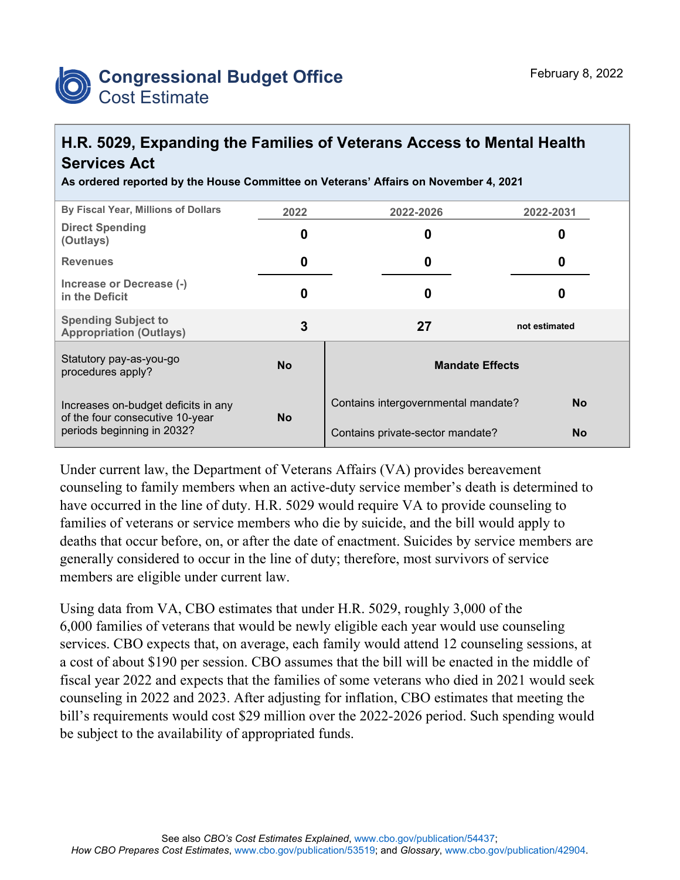

## **H.R. 5029, Expanding the Families of Veterans Access to Mental Health Services Act**

**As ordered reported by the House Committee on Veterans' Affairs on November 4, 2021**

| By Fiscal Year, Millions of Dollars                                                                  | 2022      | 2022-2026                           | 2022-2031     |  |
|------------------------------------------------------------------------------------------------------|-----------|-------------------------------------|---------------|--|
| <b>Direct Spending</b><br>(Outlays)                                                                  | 0         | 0                                   | 0             |  |
| <b>Revenues</b>                                                                                      | 0         | 0                                   | 0             |  |
| Increase or Decrease (-)<br>in the Deficit                                                           | 0         | 0                                   | 0             |  |
| <b>Spending Subject to</b><br><b>Appropriation (Outlays)</b>                                         | 3         | 27                                  | not estimated |  |
| Statutory pay-as-you-go<br>procedures apply?                                                         | <b>No</b> | <b>Mandate Effects</b>              |               |  |
| Increases on-budget deficits in any<br>of the four consecutive 10-year<br>periods beginning in 2032? | <b>No</b> | Contains intergovernmental mandate? | <b>No</b>     |  |
|                                                                                                      |           | Contains private-sector mandate?    | <b>No</b>     |  |

Under current law, the Department of Veterans Affairs (VA) provides bereavement counseling to family members when an active-duty service member's death is determined to have occurred in the line of duty. H.R. 5029 would require VA to provide counseling to families of veterans or service members who die by suicide, and the bill would apply to deaths that occur before, on, or after the date of enactment. Suicides by service members are generally considered to occur in the line of duty; therefore, most survivors of service members are eligible under current law.

Using data from VA, CBO estimates that under H.R. 5029, roughly 3,000 of the 6,000 families of veterans that would be newly eligible each year would use counseling services. CBO expects that, on average, each family would attend 12 counseling sessions, at a cost of about \$190 per session. CBO assumes that the bill will be enacted in the middle of fiscal year 2022 and expects that the families of some veterans who died in 2021 would seek counseling in 2022 and 2023. After adjusting for inflation, CBO estimates that meeting the bill's requirements would cost \$29 million over the 2022-2026 period. Such spending would be subject to the availability of appropriated funds.